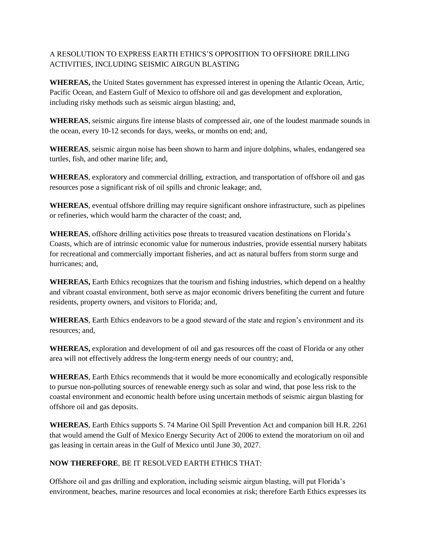## A RESOLUTION TO EXPRESS EARTH ETHICS'S OPPOSITION TO OFFSHORE DRILLING ACTIVITIES, INCLUDING SEISMIC AIRGUN BLASTING

**WHEREAS,** the United States government has expressed interest in opening the Atlantic Ocean, Artic, Pacific Ocean, and Eastern Gulf of Mexico to offshore oil and gas development and exploration, including risky methods such as seismic airgun blasting; and,

**WHEREAS**, seismic airguns fire intense blasts of compressed air, one of the loudest manmade sounds in the ocean, every 10-12 seconds for days, weeks, or months on end; and,

**WHEREAS**, seismic airgun noise has been shown to harm and injure dolphins, whales, endangered sea turtles, fish, and other marine life; and,

**WHEREAS**, exploratory and commercial drilling, extraction, and transportation of offshore oil and gas resources pose a significant risk of oil spills and chronic leakage; and,

**WHEREAS**, eventual offshore drilling may require significant onshore infrastructure, such as pipelines or refineries, which would harm the character of the coast; and,

**WHEREAS**, offshore drilling activities pose threats to treasured vacation destinations on Florida's Coasts, which are of intrinsic economic value for numerous industries, provide essential nursery habitats for recreational and commercially important fisheries, and act as natural buffers from storm surge and hurricanes; and,

**WHEREAS,** Earth Ethics recognizes that the tourism and fishing industries, which depend on a healthy and vibrant coastal environment, both serve as major economic drivers benefiting the current and future residents, property owners, and visitors to Florida; and,

**WHEREAS**, Earth Ethics endeavors to be a good steward of the state and region's environment and its resources; and,

**WHEREAS,** exploration and development of oil and gas resources off the coast of Florida or any other area will not effectively address the long-term energy needs of our country; and,

**WHEREAS**, Earth Ethics recommends that it would be more economically and ecologically responsible to pursue non-polluting sources of renewable energy such as solar and wind, that pose less risk to the coastal environment and economic health before using uncertain methods of seismic airgun blasting for offshore oil and gas deposits.

**WHEREAS**, Earth Ethics supports S. 74 Marine Oil Spill Prevention Act and companion bill H.R. 2261 that would amend the Gulf of Mexico Energy Security Act of 2006 to extend the moratorium on oil and gas leasing in certain areas in the Gulf of Mexico until June 30, 2027.

## **NOW THEREFORE**, BE IT RESOLVED EARTH ETHICS THAT:

Offshore oil and gas drilling and exploration, including seismic airgun blasting, will put Florida's environment, beaches, marine resources and local economies at risk; therefore Earth Ethics expresses its